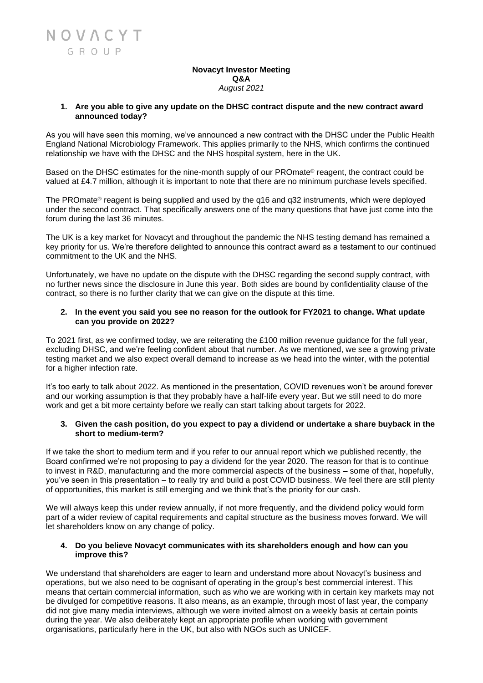#### **Novacyt Investor Meeting Q&A** *August 2021*

# **1. Are you able to give any update on the DHSC contract dispute and the new contract award announced today?**

As you will have seen this morning, we've announced a new contract with the DHSC under the Public Health England National Microbiology Framework. This applies primarily to the NHS, which confirms the continued relationship we have with the DHSC and the NHS hospital system, here in the UK.

Based on the DHSC estimates for the nine-month supply of our PROmate® reagent, the contract could be valued at £4.7 million, although it is important to note that there are no minimum purchase levels specified.

The PROmate® reagent is being supplied and used by the q16 and q32 instruments, which were deployed under the second contract. That specifically answers one of the many questions that have just come into the forum during the last 36 minutes.

The UK is a key market for Novacyt and throughout the pandemic the NHS testing demand has remained a key priority for us. We're therefore delighted to announce this contract award as a testament to our continued commitment to the UK and the NHS.

Unfortunately, we have no update on the dispute with the DHSC regarding the second supply contract, with no further news since the disclosure in June this year. Both sides are bound by confidentiality clause of the contract, so there is no further clarity that we can give on the dispute at this time.

## **2. In the event you said you see no reason for the outlook for FY2021 to change. What update can you provide on 2022?**

To 2021 first, as we confirmed today, we are reiterating the £100 million revenue guidance for the full year, excluding DHSC, and we're feeling confident about that number. As we mentioned, we see a growing private testing market and we also expect overall demand to increase as we head into the winter, with the potential for a higher infection rate.

It's too early to talk about 2022. As mentioned in the presentation, COVID revenues won't be around forever and our working assumption is that they probably have a half-life every year. But we still need to do more work and get a bit more certainty before we really can start talking about targets for 2022.

## **3. Given the cash position, do you expect to pay a dividend or undertake a share buyback in the short to medium-term?**

If we take the short to medium term and if you refer to our annual report which we published recently, the Board confirmed we're not proposing to pay a dividend for the year 2020. The reason for that is to continue to invest in R&D, manufacturing and the more commercial aspects of the business – some of that, hopefully, you've seen in this presentation – to really try and build a post COVID business. We feel there are still plenty of opportunities, this market is still emerging and we think that's the priority for our cash.

We will always keep this under review annually, if not more frequently, and the dividend policy would form part of a wider review of capital requirements and capital structure as the business moves forward. We will let shareholders know on any change of policy.

# **4. Do you believe Novacyt communicates with its shareholders enough and how can you improve this?**

We understand that shareholders are eager to learn and understand more about Novacyt's business and operations, but we also need to be cognisant of operating in the group's best commercial interest. This means that certain commercial information, such as who we are working with in certain key markets may not be divulged for competitive reasons. It also means, as an example, through most of last year, the company did not give many media interviews, although we were invited almost on a weekly basis at certain points during the year. We also deliberately kept an appropriate profile when working with government organisations, particularly here in the UK, but also with NGOs such as UNICEF.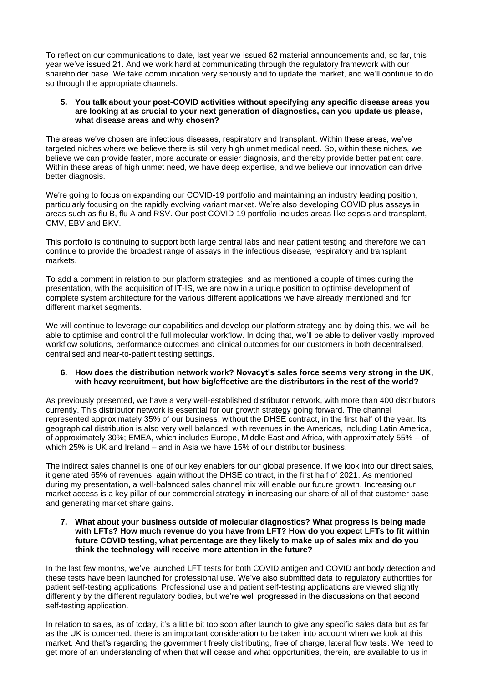To reflect on our communications to date, last year we issued 62 material announcements and, so far, this year we've issued 21. And we work hard at communicating through the regulatory framework with our shareholder base. We take communication very seriously and to update the market, and we'll continue to do so through the appropriate channels.

## **5. You talk about your post-COVID activities without specifying any specific disease areas you are looking at as crucial to your next generation of diagnostics, can you update us please, what disease areas and why chosen?**

The areas we've chosen are infectious diseases, respiratory and transplant. Within these areas, we've targeted niches where we believe there is still very high unmet medical need. So, within these niches, we believe we can provide faster, more accurate or easier diagnosis, and thereby provide better patient care. Within these areas of high unmet need, we have deep expertise, and we believe our innovation can drive better diagnosis.

We're going to focus on expanding our COVID-19 portfolio and maintaining an industry leading position, particularly focusing on the rapidly evolving variant market. We're also developing COVID plus assays in areas such as flu B, flu A and RSV. Our post COVID-19 portfolio includes areas like sepsis and transplant, CMV, EBV and BKV.

This portfolio is continuing to support both large central labs and near patient testing and therefore we can continue to provide the broadest range of assays in the infectious disease, respiratory and transplant markets.

To add a comment in relation to our platform strategies, and as mentioned a couple of times during the presentation, with the acquisition of IT-IS, we are now in a unique position to optimise development of complete system architecture for the various different applications we have already mentioned and for different market segments.

We will continue to leverage our capabilities and develop our platform strategy and by doing this, we will be able to optimise and control the full molecular workflow. In doing that, we'll be able to deliver vastly improved workflow solutions, performance outcomes and clinical outcomes for our customers in both decentralised, centralised and near-to-patient testing settings.

## **6. How does the distribution network work? Novacyt's sales force seems very strong in the UK, with heavy recruitment, but how big/effective are the distributors in the rest of the world?**

As previously presented, we have a very well-established distributor network, with more than 400 distributors currently. This distributor network is essential for our growth strategy going forward. The channel represented approximately 35% of our business, without the DHSE contract, in the first half of the year. Its geographical distribution is also very well balanced, with revenues in the Americas, including Latin America, of approximately 30%; EMEA, which includes Europe, Middle East and Africa, with approximately 55% – of which 25% is UK and Ireland – and in Asia we have 15% of our distributor business.

The indirect sales channel is one of our key enablers for our global presence. If we look into our direct sales, it generated 65% of revenues, again without the DHSE contract, in the first half of 2021. As mentioned during my presentation, a well-balanced sales channel mix will enable our future growth. Increasing our market access is a key pillar of our commercial strategy in increasing our share of all of that customer base and generating market share gains.

#### **7. What about your business outside of molecular diagnostics? What progress is being made with LFTs? How much revenue do you have from LFT? How do you expect LFTs to fit within future COVID testing, what percentage are they likely to make up of sales mix and do you think the technology will receive more attention in the future?**

In the last few months, we've launched LFT tests for both COVID antigen and COVID antibody detection and these tests have been launched for professional use. We've also submitted data to regulatory authorities for patient self-testing applications. Professional use and patient self-testing applications are viewed slightly differently by the different regulatory bodies, but we're well progressed in the discussions on that second self-testing application.

In relation to sales, as of today, it's a little bit too soon after launch to give any specific sales data but as far as the UK is concerned, there is an important consideration to be taken into account when we look at this market. And that's regarding the government freely distributing, free of charge, lateral flow tests. We need to get more of an understanding of when that will cease and what opportunities, therein, are available to us in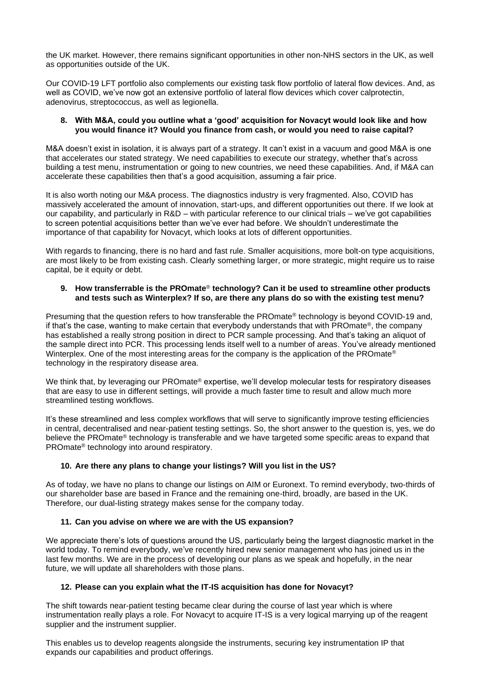the UK market. However, there remains significant opportunities in other non-NHS sectors in the UK, as well as opportunities outside of the UK.

Our COVID-19 LFT portfolio also complements our existing task flow portfolio of lateral flow devices. And, as well as COVID, we've now got an extensive portfolio of lateral flow devices which cover calprotectin, adenovirus, streptococcus, as well as legionella.

## **8. With M&A, could you outline what a 'good' acquisition for Novacyt would look like and how you would finance it? Would you finance from cash, or would you need to raise capital?**

M&A doesn't exist in isolation, it is always part of a strategy. It can't exist in a vacuum and good M&A is one that accelerates our stated strategy. We need capabilities to execute our strategy, whether that's across building a test menu, instrumentation or going to new countries, we need these capabilities. And, if M&A can accelerate these capabilities then that's a good acquisition, assuming a fair price.

It is also worth noting our M&A process. The diagnostics industry is very fragmented. Also, COVID has massively accelerated the amount of innovation, start-ups, and different opportunities out there. If we look at our capability, and particularly in R&D – with particular reference to our clinical trials – we've got capabilities to screen potential acquisitions better than we've ever had before. We shouldn't underestimate the importance of that capability for Novacyt, which looks at lots of different opportunities.

With regards to financing, there is no hard and fast rule. Smaller acquisitions, more bolt-on type acquisitions, are most likely to be from existing cash. Clearly something larger, or more strategic, might require us to raise capital, be it equity or debt.

## **9. How transferrable is the PROmate**® **technology? Can it be used to streamline other products and tests such as Winterplex? If so, are there any plans do so with the existing test menu?**

Presuming that the question refers to how transferable the PROmate® technology is beyond COVID-19 and, if that's the case, wanting to make certain that everybody understands that with PROmate®, the company has established a really strong position in direct to PCR sample processing. And that's taking an aliquot of the sample direct into PCR. This processing lends itself well to a number of areas. You've already mentioned Winterplex. One of the most interesting areas for the company is the application of the PROmate® technology in the respiratory disease area.

We think that, by leveraging our PROmate® expertise, we'll develop molecular tests for respiratory diseases that are easy to use in different settings, will provide a much faster time to result and allow much more streamlined testing workflows.

It's these streamlined and less complex workflows that will serve to significantly improve testing efficiencies in central, decentralised and near-patient testing settings. So, the short answer to the question is, yes, we do believe the PROmate® technology is transferable and we have targeted some specific areas to expand that PROmate® technology into around respiratory.

# **10. Are there any plans to change your listings? Will you list in the US?**

As of today, we have no plans to change our listings on AIM or Euronext. To remind everybody, two-thirds of our shareholder base are based in France and the remaining one-third, broadly, are based in the UK. Therefore, our dual-listing strategy makes sense for the company today.

# **11. Can you advise on where we are with the US expansion?**

We appreciate there's lots of questions around the US, particularly being the largest diagnostic market in the world today. To remind everybody, we've recently hired new senior management who has joined us in the last few months. We are in the process of developing our plans as we speak and hopefully, in the near future, we will update all shareholders with those plans.

# **12. Please can you explain what the IT-IS acquisition has done for Novacyt?**

The shift towards near-patient testing became clear during the course of last year which is where instrumentation really plays a role. For Novacyt to acquire IT-IS is a very logical marrying up of the reagent supplier and the instrument supplier.

This enables us to develop reagents alongside the instruments, securing key instrumentation IP that expands our capabilities and product offerings.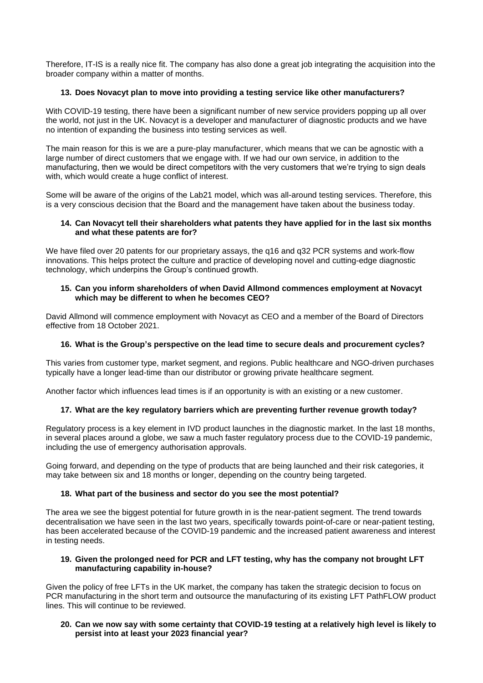Therefore, IT-IS is a really nice fit. The company has also done a great job integrating the acquisition into the broader company within a matter of months.

# **13. Does Novacyt plan to move into providing a testing service like other manufacturers?**

With COVID-19 testing, there have been a significant number of new service providers popping up all over the world, not just in the UK. Novacyt is a developer and manufacturer of diagnostic products and we have no intention of expanding the business into testing services as well.

The main reason for this is we are a pure-play manufacturer, which means that we can be agnostic with a large number of direct customers that we engage with. If we had our own service, in addition to the manufacturing, then we would be direct competitors with the very customers that we're trying to sign deals with, which would create a huge conflict of interest.

Some will be aware of the origins of the Lab21 model, which was all-around testing services. Therefore, this is a very conscious decision that the Board and the management have taken about the business today.

## **14. Can Novacyt tell their shareholders what patents they have applied for in the last six months and what these patents are for?**

We have filed over 20 patents for our proprietary assays, the q16 and q32 PCR systems and work-flow innovations. This helps protect the culture and practice of developing novel and cutting-edge diagnostic technology, which underpins the Group's continued growth.

## **15. Can you inform shareholders of when David Allmond commences employment at Novacyt which may be different to when he becomes CEO?**

David Allmond will commence employment with Novacyt as CEO and a member of the Board of Directors effective from 18 October 2021.

# **16. What is the Group's perspective on the lead time to secure deals and procurement cycles?**

This varies from customer type, market segment, and regions. Public healthcare and NGO-driven purchases typically have a longer lead-time than our distributor or growing private healthcare segment.

Another factor which influences lead times is if an opportunity is with an existing or a new customer.

### **17. What are the key regulatory barriers which are preventing further revenue growth today?**

Regulatory process is a key element in IVD product launches in the diagnostic market. In the last 18 months, in several places around a globe, we saw a much faster regulatory process due to the COVID-19 pandemic, including the use of emergency authorisation approvals.

Going forward, and depending on the type of products that are being launched and their risk categories, it may take between six and 18 months or longer, depending on the country being targeted.

### **18. What part of the business and sector do you see the most potential?**

The area we see the biggest potential for future growth in is the near-patient segment. The trend towards decentralisation we have seen in the last two years, specifically towards point-of-care or near-patient testing, has been accelerated because of the COVID-19 pandemic and the increased patient awareness and interest in testing needs.

### **19. Given the prolonged need for PCR and LFT testing, why has the company not brought LFT manufacturing capability in-house?**

Given the policy of free LFTs in the UK market, the company has taken the strategic decision to focus on PCR manufacturing in the short term and outsource the manufacturing of its existing LFT PathFLOW product lines. This will continue to be reviewed.

## **20. Can we now say with some certainty that COVID-19 testing at a relatively high level is likely to persist into at least your 2023 financial year?**